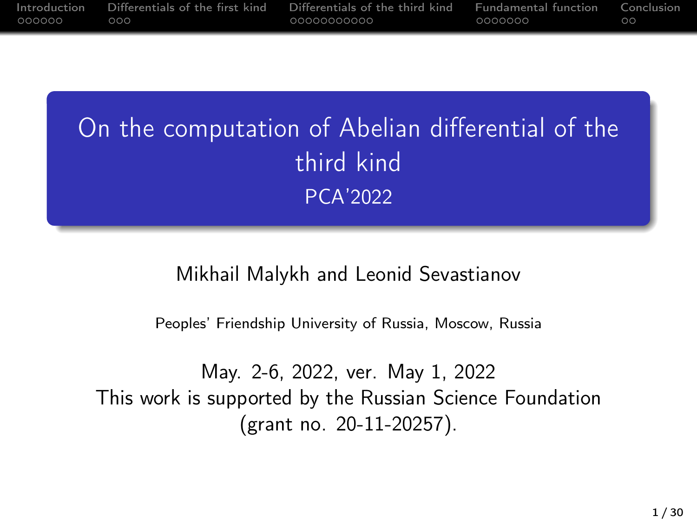| Introduction | Differentials of the first kind | Differentials of the third kind | <b>Fundamental function</b> | Conclusion |
|--------------|---------------------------------|---------------------------------|-----------------------------|------------|
| 000000       | ה הר                            | 00000000000                     | 0000000                     | $\circ$    |

# On the computation of Abelian differential of the third kind PCA'2022

#### Mikhail Malykh and Leonid Sevastianov

Peoples' Friendship University of Russia, Moscow, Russia

May. 2-6, 2022, ver. May 1, 2022 This work is supported by the Russian Science Foundation (grant no. 20-11-20257).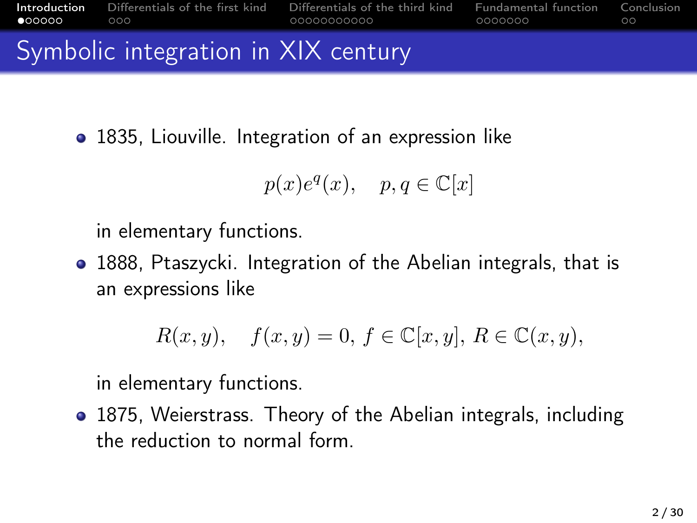<span id="page-1-0"></span>

| $\bullet$ 00000 000 |                                     | <b>Introduction</b> Differentials of the first kind Differentials of the third kind Fundamental function Conclusion | 0000000 Q | ററ |
|---------------------|-------------------------------------|---------------------------------------------------------------------------------------------------------------------|-----------|----|
|                     | Symbolic integration in XIX century |                                                                                                                     |           |    |

• 1835, Liouville. Integration of an expression like

$$
p(x)e^{q}(x), \quad p, q \in \mathbb{C}[x]
$$

in elementary functions.

• 1888, Ptaszycki. Integration of the Abelian integrals, that is an expressions like

$$
R(x, y), \quad f(x, y) = 0, f \in \mathbb{C}[x, y], R \in \mathbb{C}(x, y),
$$

in elementary functions.

1875, Weierstrass. Theory of the Abelian integrals, including the reduction to normal form.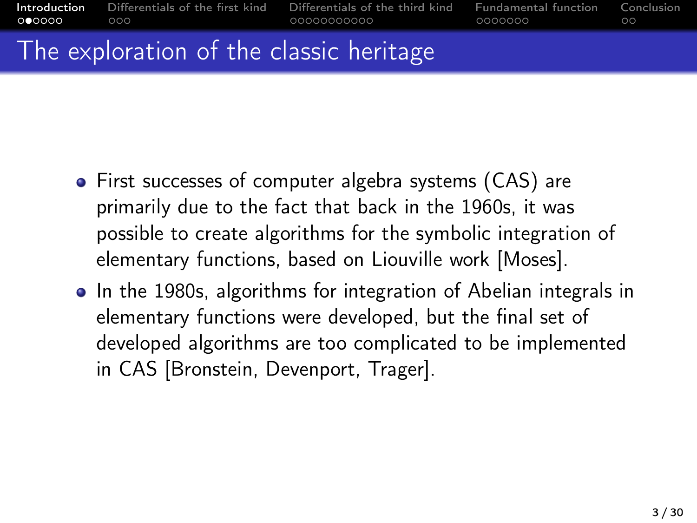| റ●ററററ                  | <b>Introduction</b> Differentials of the first kind Differentials of the third kind Fundamental function Conclusion<br>റററ | _0000000 | - ററ |
|-------------------------|----------------------------------------------------------------------------------------------------------------------------|----------|------|
| <b>Service</b> Products |                                                                                                                            |          |      |

## I he exploration of the classic heritage

- First successes of computer algebra systems (CAS) are primarily due to the fact that back in the 1960s, it was possible to create algorithms for the symbolic integration of elementary functions, based on Liouville work [Moses].
- In the 1980s, algorithms for integration of Abelian integrals in elementary functions were developed, but the final set of developed algorithms are too complicated to be implemented in CAS [Bronstein, Devenport, Trager].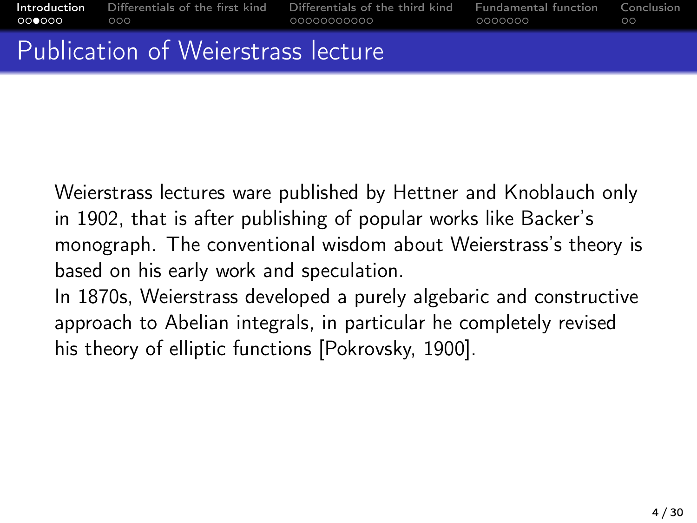## Publication of Weierstrass lecture

Weierstrass lectures ware published by Hettner and Knoblauch only in 1902, that is after publishing of popular works like Backer's monograph. The conventional wisdom about Weierstrass's theory is based on his early work and speculation. In 1870s, Weierstrass developed a purely algebaric and constructive approach to Abelian integrals, in particular he completely revised

his theory of elliptic functions [Pokrovsky, 1900].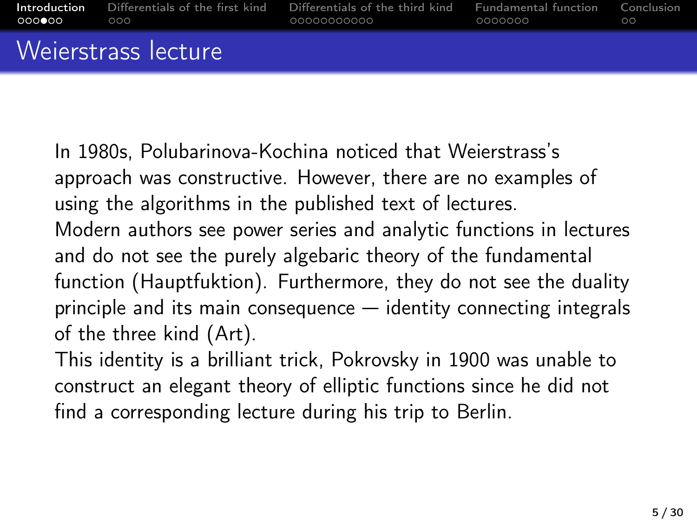| .000●00 000 |                     | <b>Introduction</b> Differentials of the first kind Differentials of the third kind Fundamental function Conclusion<br>00000000000 COOO | 0000000 | ററ |
|-------------|---------------------|-----------------------------------------------------------------------------------------------------------------------------------------|---------|----|
|             | Weierstrass lecture |                                                                                                                                         |         |    |

In 1980s, Polubarinova-Kochina noticed that Weierstrass's approach was constructive. However, there are no examples of using the algorithms in the published text of lectures. Modern authors see power series and analytic functions in lectures and do not see the purely algebaric theory of the fundamental function (Hauptfuktion). Furthermore, they do not see the duality principle and its main consequence — identity connecting integrals of the three kind (Art).

This identity is a brilliant trick, Pokrovsky in 1900 was unable to construct an elegant theory of elliptic functions since he did not find a corresponding lecture during his trip to Berlin.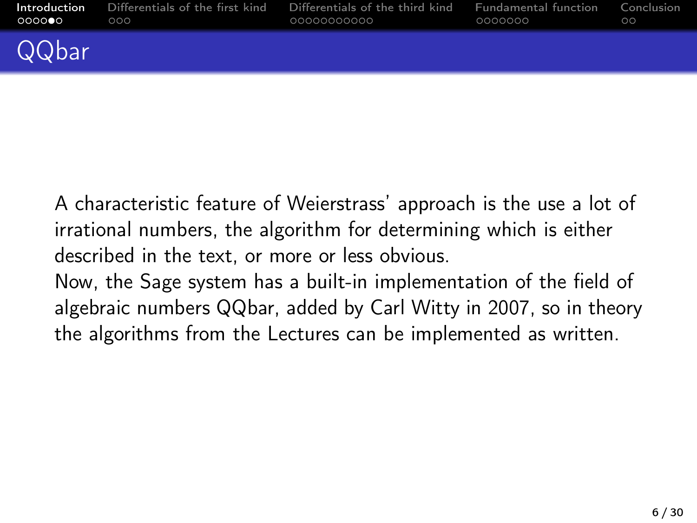| ററററ⊜റ | <b>Introduction</b> Differentials of the first kind<br>೧೧೧ | Differentials of the third kind<br>00000000000 | <b>Eundamental function</b> Conclusion<br>0000000 | ററ |
|--------|------------------------------------------------------------|------------------------------------------------|---------------------------------------------------|----|
| QQbar  |                                                            |                                                |                                                   |    |

A characteristic feature of Weierstrass' approach is the use a lot of irrational numbers, the algorithm for determining which is either described in the text, or more or less obvious. Now, the Sage system has a built-in implementation of the field of algebraic numbers QQbar, added by Carl Witty in 2007, so in theory the algorithms from the Lectures can be implemented as written.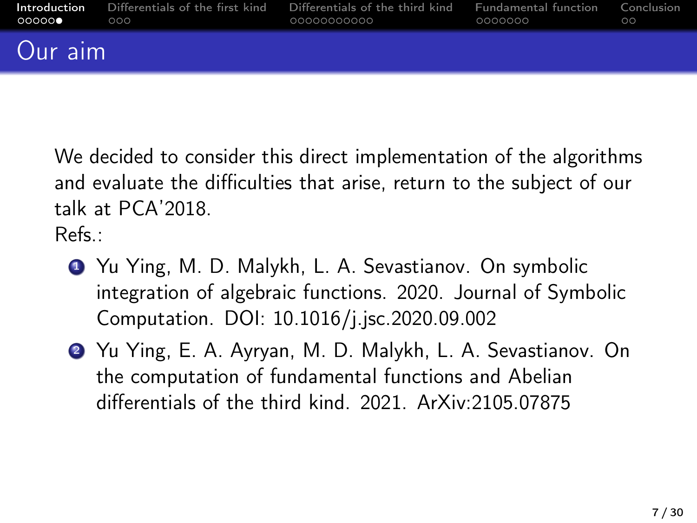| OOOOOO OO OOOO | റററ | <b>Introduction</b> Differentials of the first kind Differentials of the third kind Fundamental function Conclusion | .0000000 | $\circ$ |
|----------------|-----|---------------------------------------------------------------------------------------------------------------------|----------|---------|
| Our aim        |     |                                                                                                                     |          |         |

We decided to consider this direct implementation of the algorithms and evaluate the difficulties that arise, return to the subject of our talk at PCA'2018.

Refs.:

- **1** Yu Ying, M. D. Malykh, L. A. Sevastianov. On symbolic integration of algebraic functions. 2020. Journal of Symbolic Computation. DOI: 10.1016/j.jsc.2020.09.002
- <sup>2</sup> Yu Ying, E. A. Ayryan, M. D. Malykh, L. A. Sevastianov. On the computation of fundamental functions and Abelian differentials of the third kind. 2021. ArXiv:2105.07875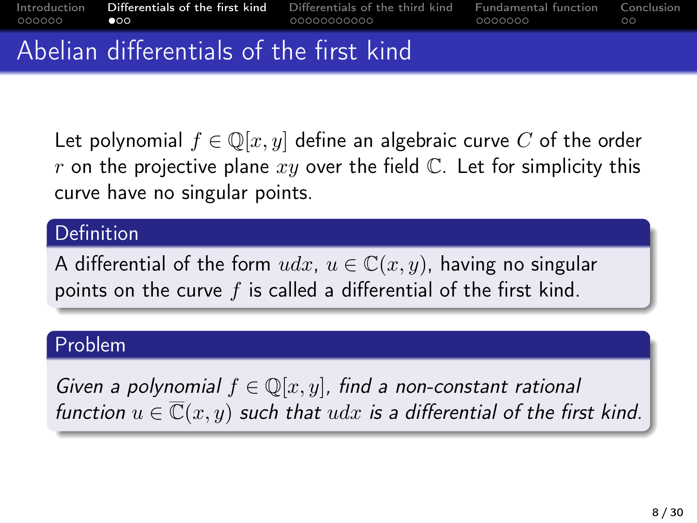<span id="page-7-0"></span>

| . 000000 | $\bullet$ 0.0 $\bullet$                 | Introduction <b>Differentials of the first kind</b> Differentials of the third kind Fundamental function Conclusion<br>00000000000 | - 0000000 | ററ |
|----------|-----------------------------------------|------------------------------------------------------------------------------------------------------------------------------------|-----------|----|
|          | Abelian differentials of the first kind |                                                                                                                                    |           |    |

Let polynomial  $f \in \mathbb{Q}[x, y]$  define an algebraic curve C of the order r on the projective plane  $xy$  over the field  $\mathbb{C}$ . Let for simplicity this curve have no singular points.

#### **Definition**

A differential of the form  $udx$ ,  $u \in \mathbb{C}(x, y)$ , having no singular points on the curve  $f$  is called a differential of the first kind.

#### Problem

Given a polynomial  $f \in \mathbb{Q}[x,y]$ , find a non-constant rational function  $u \in \overline{\mathbb{C}}(x, y)$  such that  $udx$  is a differential of the first kind.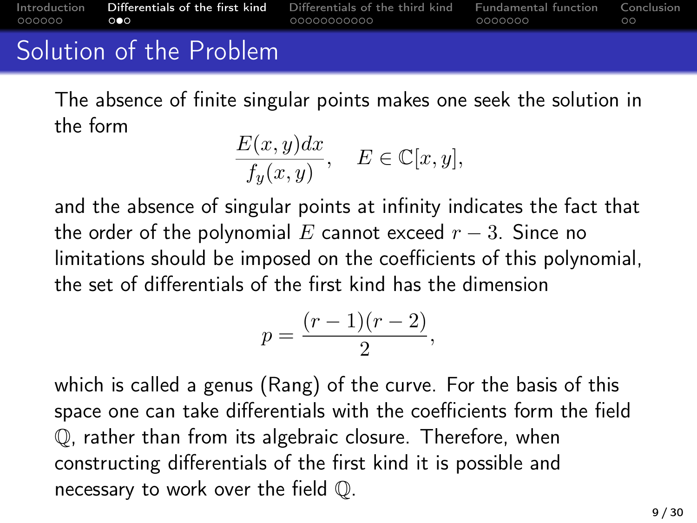| . 000000 | Introduction Differentials of the first kind<br>$\sim$ 000 | Differentials of the third kind Fundamental function Conclusion<br>00000000000 | . 0000000 | ററ |
|----------|------------------------------------------------------------|--------------------------------------------------------------------------------|-----------|----|
|          | Solution of the Problem                                    |                                                                                |           |    |

The absence of finite singular points makes one seek the solution in the form

$$
\frac{E(x,y)dx}{f_y(x,y)}, \quad E \in \mathbb{C}[x,y],
$$

and the absence of singular points at infinity indicates the fact that the order of the polynomial E cannot exceed  $r - 3$ . Since no limitations should be imposed on the coefficients of this polynomial, the set of differentials of the first kind has the dimension

$$
p = \frac{(r-1)(r-2)}{2},
$$

which is called a genus (Rang) of the curve. For the basis of this space one can take differentials with the coefficients form the field Q, rather than from its algebraic closure. Therefore, when constructing differentials of the first kind it is possible and necessary to work over the field Q.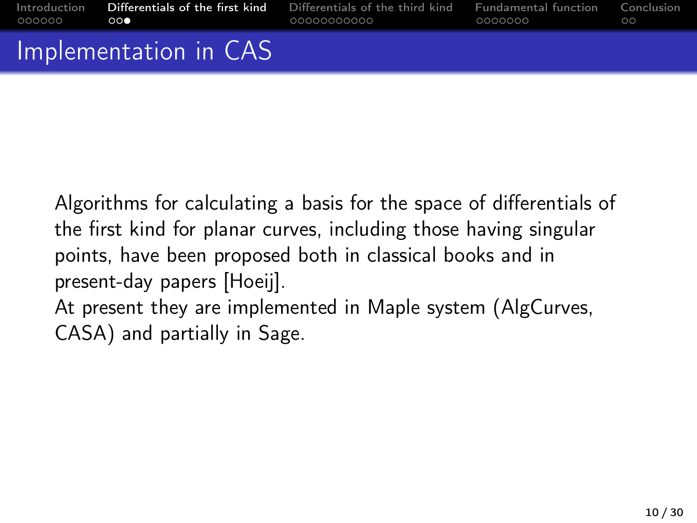| 000000 <b>000</b> | $\Gamma$ <sub>r</sub> and a second set of $\Gamma$ and $\Gamma$ and $\Gamma$ | 00000000000 COOO                                                                                                    | 0000000 | - ററ |
|-------------------|------------------------------------------------------------------------------|---------------------------------------------------------------------------------------------------------------------|---------|------|
|                   |                                                                              | Introduction <b>Differentials of the first kind</b> Differentials of the third kind Fundamental function Conclusion |         |      |

Implementation in CAS

Algorithms for calculating a basis for the space of differentials of the first kind for planar curves, including those having singular points, have been proposed both in classical books and in present-day papers [Hoeij]. At present they are implemented in Maple system (AlgCurves, CASA) and partially in Sage.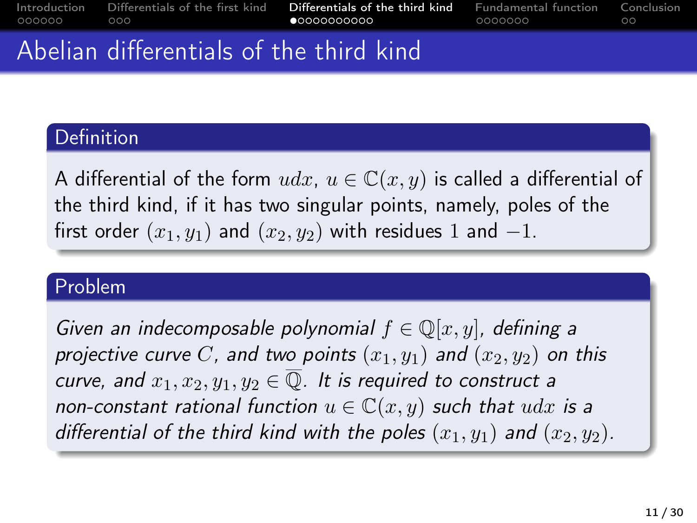<span id="page-10-0"></span>

| 000000 000 |  | •00000000000 |  | Introduction Differentials of the first kind Differentials of the third kind Fundamental function Conclusion<br>. 0000000 | ററ |
|------------|--|--------------|--|---------------------------------------------------------------------------------------------------------------------------|----|
|            |  |              |  |                                                                                                                           |    |

## Abelian differentials of the third kind

#### **Definition**

A differential of the form  $udx, u \in \mathbb{C}(x, y)$  is called a differential of the third kind, if it has two singular points, namely, poles of the first order  $(x_1, y_1)$  and  $(x_2, y_2)$  with residues 1 and  $-1$ .

### Problem

Given an indecomposable polynomial  $f \in \mathbb{Q}[x, y]$ , defining a projective curve C, and two points  $(x_1, y_1)$  and  $(x_2, y_2)$  on this curve, and  $x_1, x_2, y_1, y_2 \in \overline{\mathbb{Q}}$ . It is required to construct a non-constant rational function  $u \in \mathbb{C}(x, y)$  such that  $udx$  is a differential of the third kind with the poles  $(x_1, y_1)$  and  $(x_2, y_2)$ .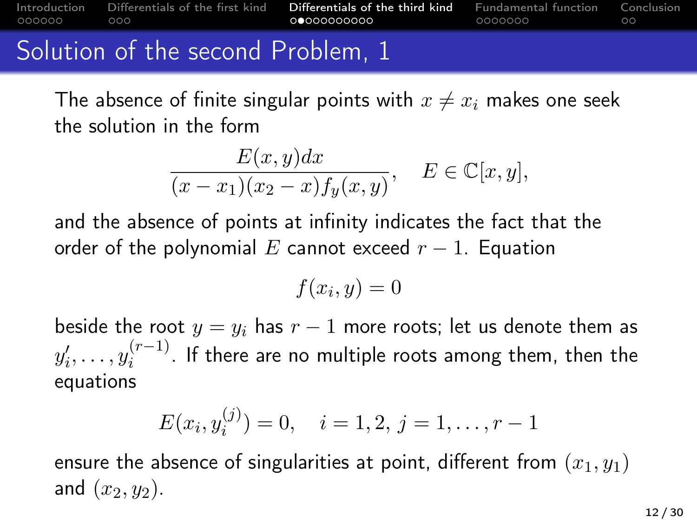[Introduction](#page-1-0) [Differentials of the first kind](#page-7-0) [Differentials of the third kind](#page-10-0) [Fundamental function](#page-21-0) [Conclusion](#page-28-0)  $000$ 00000000000 0000000  $\circ$ 

## Solution of the second Problem, 1

The absence of finite singular points with  $x \neq x_i$  makes one seek the solution in the form

$$
\frac{E(x,y)dx}{(x-x_1)(x_2-x)f_y(x,y)}, \quad E \in \mathbb{C}[x,y],
$$

and the absence of points at infinity indicates the fact that the order of the polynomial E cannot exceed  $r - 1$ . Equation

$$
f(x_i, y) = 0
$$

beside the root  $y = y_i$  has  $r - 1$  more roots; let us denote them as  $y'_{i}, \ldots, y_{i}^{(r-1)}$  $i^{(r-1)}$ . If there are no multiple roots among them, then the equations

$$
E(x_i, y_i^{(j)}) = 0, \quad i = 1, 2, j = 1, \dots, r - 1
$$

ensure the absence of singularities at point, different from  $(x_1, y_1)$ and  $(x_2, y_2)$ .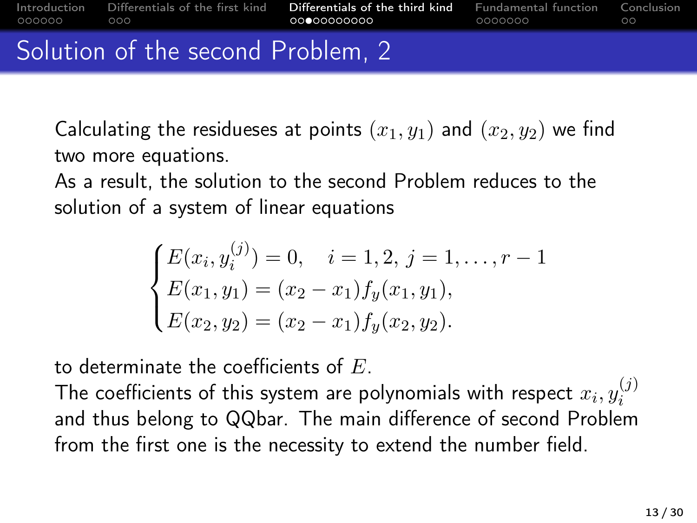Solution of the second Problem, 2

Calculating the residueses at points  $(x_1, y_1)$  and  $(x_2, y_2)$  we find two more equations.

As a result, the solution to the second Problem reduces to the solution of a system of linear equations

$$
\begin{cases} E(x_i, y_i^{(j)}) = 0, & i = 1, 2, j = 1, \dots, r - 1 \\ E(x_1, y_1) = (x_2 - x_1) f_y(x_1, y_1), \\ E(x_2, y_2) = (x_2 - x_1) f_y(x_2, y_2). \end{cases}
$$

to determinate the coefficients of  $E$ .

The coefficients of this system are polynomials with respect  $x_i, y_i^{(j)}$ i and thus belong to QQbar. The main difference of second Problem from the first one is the necessity to extend the number field.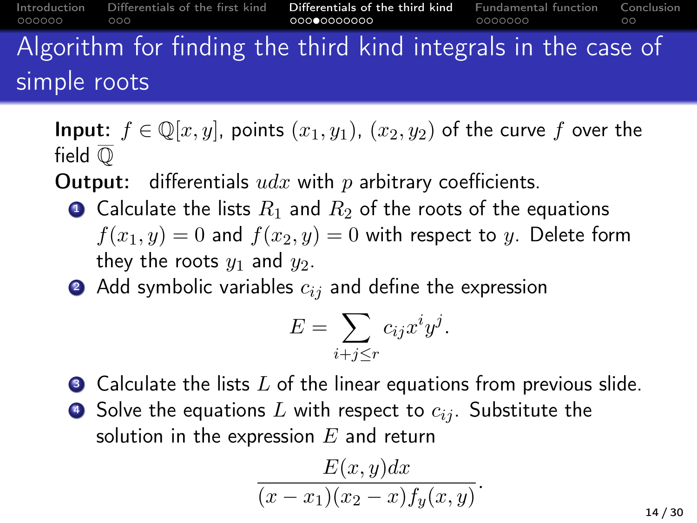| 000000       | $\circ$ 000 | Introduction Differentials of the first kind | Differentials of the third kind<br>00000000000                |  | . 0000000 | <b>Eundamental function</b> Conclusion | ററ |
|--------------|-------------|----------------------------------------------|---------------------------------------------------------------|--|-----------|----------------------------------------|----|
|              |             |                                              | Algorithm for finding the third kind integrals in the case of |  |           |                                        |    |
| simple roots |             |                                              |                                                               |  |           |                                        |    |

**Input:**  $f \in \mathbb{Q}[x, y]$ , points  $(x_1, y_1)$ ,  $(x_2, y_2)$  of the curve f over the field  $\overline{O}$ 

**Output:** differentials  $udx$  with p arbitrary coefficients.

- Calculate the lists  $R_1$  and  $R_2$  of the roots of the equations  $f(x_1, y) = 0$  and  $f(x_2, y) = 0$  with respect to y. Delete form they the roots  $y_1$  and  $y_2$ .
- Add symbolic variables  $c_{ij}$  and define the expression

$$
E = \sum_{i+j \le r} c_{ij} x^i y^j.
$$

- $\bullet$  Calculate the lists L of the linear equations from previous slide.
- $\bullet$  Solve the equations L with respect to  $c_{ij}$ . Substitute the solution in the expression  $E$  and return

$$
\frac{E(x,y)dx}{(x-x_1)(x_2-x)f_y(x,y)}.
$$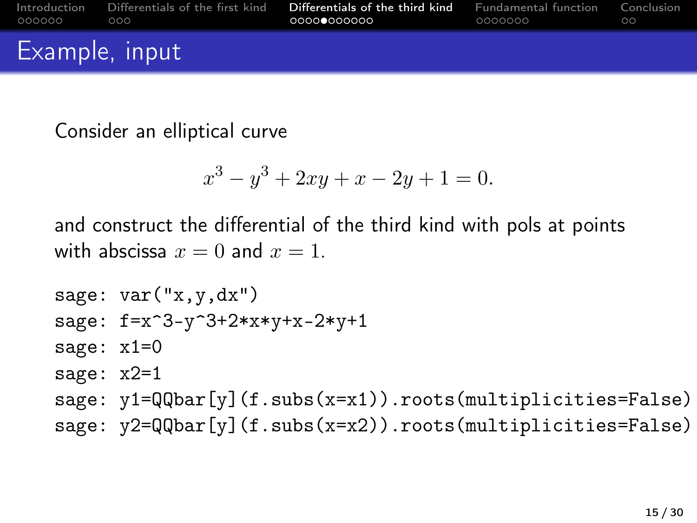| _000000        | Introduction Differentials of the first kind<br>റററ | <b>Differentials of the third kind</b> Fundamental function Conclusion<br>.0000 <b>0</b> 000000 | . 0000000 | ററ |
|----------------|-----------------------------------------------------|-------------------------------------------------------------------------------------------------|-----------|----|
| Example, input |                                                     |                                                                                                 |           |    |

Consider an elliptical curve

$$
x^3 - y^3 + 2xy + x - 2y + 1 = 0.
$$

and construct the differential of the third kind with pols at points with abscissa  $x = 0$  and  $x = 1$ .

```
sage: var("x,y,dx")sage: f=x^3-y^3+2*x*y+x-2*y+1
sage: x1=0
sage: x2=1
sage: v1=QQbar[v](f.subs(x=x1)).roots(multiplicities=False)
sage: v2=QQbar[v](f.subs(x=x2)).roots(multiplicities=False)
```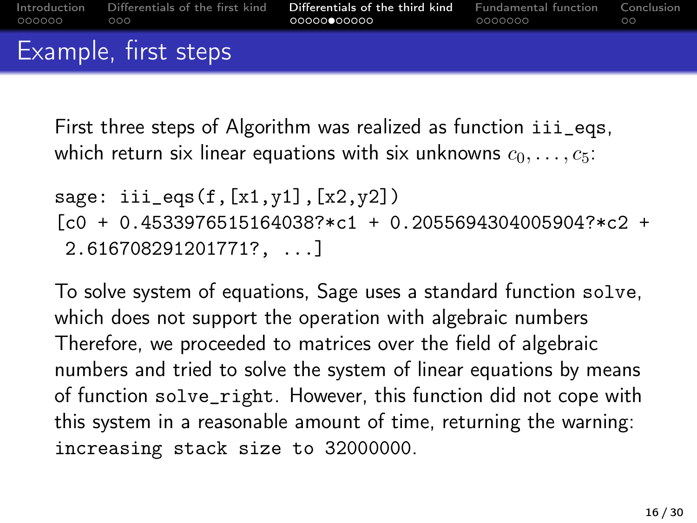First three steps of Algorithm was realized as function iii\_eqs, which return six linear equations with six unknowns  $c_0, \ldots, c_5$ :

```
sage: iii\_eqs(f,[x1,y1],[x2,y2])[c0 + 0.4533976515164038?*c1 + 0.2055694304005904?*c2 +
2.616708291201771?, ...]
```
To solve system of equations, Sage uses a standard function solve, which does not support the operation with algebraic numbers Therefore, we proceeded to matrices over the field of algebraic numbers and tried to solve the system of linear equations by means of function solve\_right. However, this function did not cope with this system in a reasonable amount of time, returning the warning: increasing stack size to 32000000.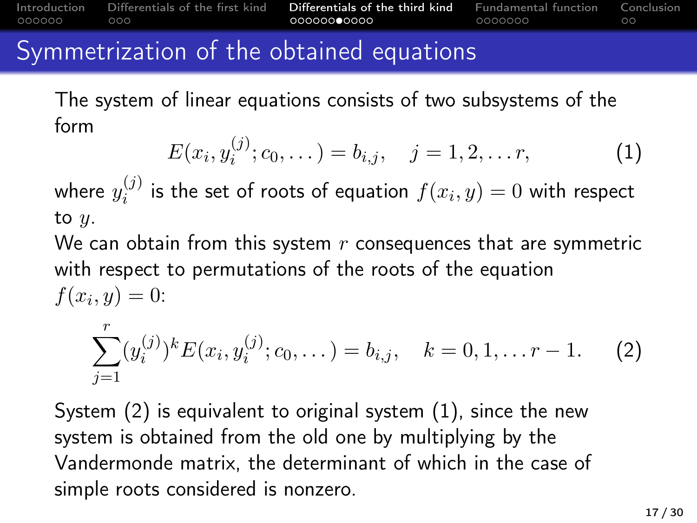## Symmetrization of the obtained equations

The system of linear equations consists of two subsystems of the form

<span id="page-16-1"></span>
$$
E(x_i, y_i^{(j)}; c_0, \dots) = b_{i,j}, \quad j = 1, 2, \dots r,
$$
 (1)

where  $y_i^{(j)}$  $i^{(j)}$  is the set of roots of equation  $f(x_i, y) = 0$  with respect to  $y$ .

We can obtain from this system  $r$  consequences that are symmetric with respect to permutations of the roots of the equation  $f(x_i, y) = 0:$ 

<span id="page-16-0"></span>
$$
\sum_{j=1}^{r} (y_i^{(j)})^k E(x_i, y_i^{(j)}; c_0, \dots) = b_{i,j}, \quad k = 0, 1, \dots r - 1.
$$
 (2)

System [\(2\)](#page-16-0) is equivalent to original system [\(1\)](#page-16-1), since the new system is obtained from the old one by multiplying by the Vandermonde matrix, the determinant of which in the case of simple roots considered is nonzero.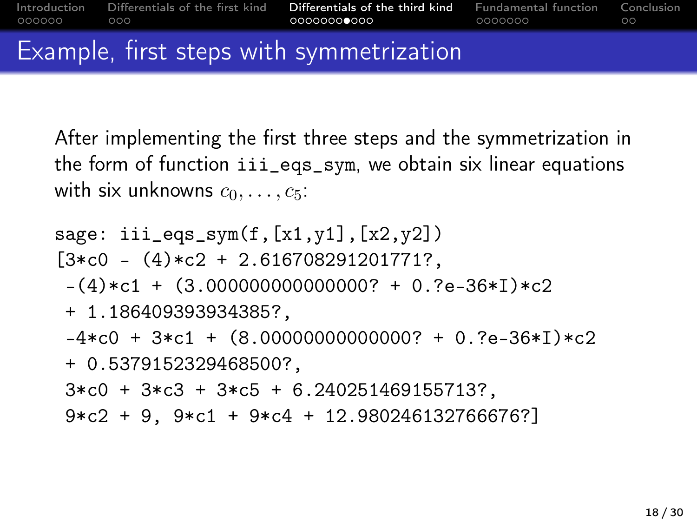| - 000000 - 000 | Introduction Differentials of the first kind <b>Differentials of the third kind</b> Fundamental function Conclusion | . 0000000<br>and the contract of the contract of | - ററ |
|----------------|---------------------------------------------------------------------------------------------------------------------|--------------------------------------------------|------|
|                | Example first stans with symmatrization                                                                             |                                                  |      |

## Example, first steps with symmetrization

After implementing the first three steps and the symmetrization in the form of function iii\_eqs\_sym, we obtain six linear equations with six unknowns  $c_0, \ldots, c_5$ :

```
sage: iii_eqs_swm(f,[x1,y1],[x2,y2])[3*C0 - (4)*c2 + 2.616708291201771?-(4)*c1 + (3.0000000000000007 + 0.?e-36*I)*c2+ 1.186409393934385?,
 -4*c0 + 3*c1 + (8.000000000000007 + 0.7e-36*I)*c2+ 0.5379152329468500?,
3*C0 + 3*C3 + 3*C5 + 6.240251469155713?9*c2 + 9, 9*c1 + 9*c4 + 12.980246132766676?]
```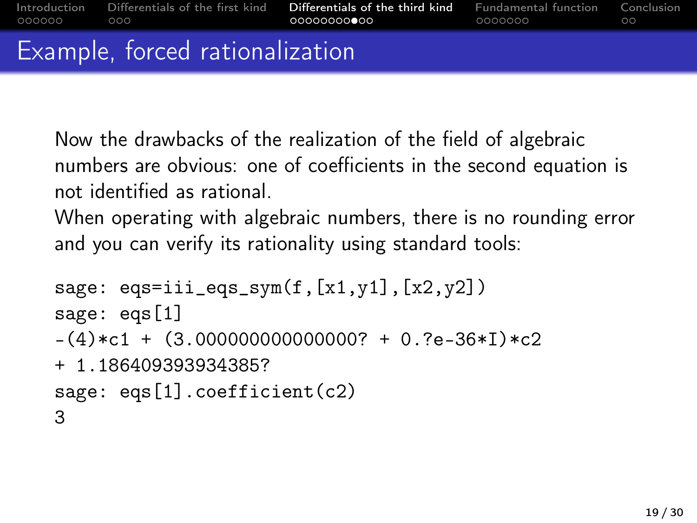Now the drawbacks of the realization of the field of algebraic numbers are obvious: one of coefficients in the second equation is not identified as rational.

When operating with algebraic numbers, there is no rounding error and you can verify its rationality using standard tools:

```
sage: eqs=iii_eqs_sym(f,[x1,y1],[x2,y2])
sage: eqs[1]
-(4)*c1 + (3.0000000000000007 + 0.7e-36*I)*c2+ 1.186409393934385?
sage: eqs[1].coefficient(c2)
3
```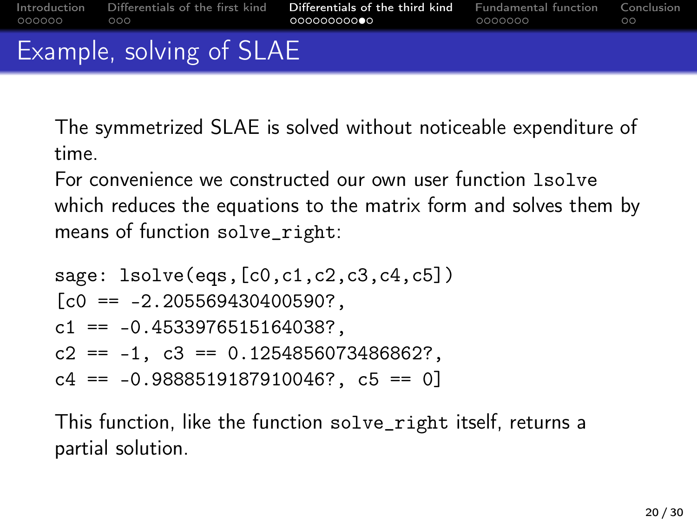| - 000000 | $\circ$ 000              | Introduction Differentials of the first kind <b>Differentials of the third kind</b> Fundamental function Conclusion | 0000000 Q | ററ |  |
|----------|--------------------------|---------------------------------------------------------------------------------------------------------------------|-----------|----|--|
|          | Example, solving of SLAE |                                                                                                                     |           |    |  |

The symmetrized SLAE is solved without noticeable expenditure of time.

For convenience we constructed our own user function lsolve which reduces the equations to the matrix form and solves them by means of function solve\_right:

sage: lsolve(eqs,[c0,c1,c2,c3,c4,c5])  $[CD = -2.205569430400590?$  $c1 = -0.4533976515164038?$ c2 ==  $-1$ , c3 == 0.1254856073486862?,  $c4 = -0.9888519187910046?$ ,  $c5 = 0$ 

This function, like the function solve\_right itself, returns a partial solution.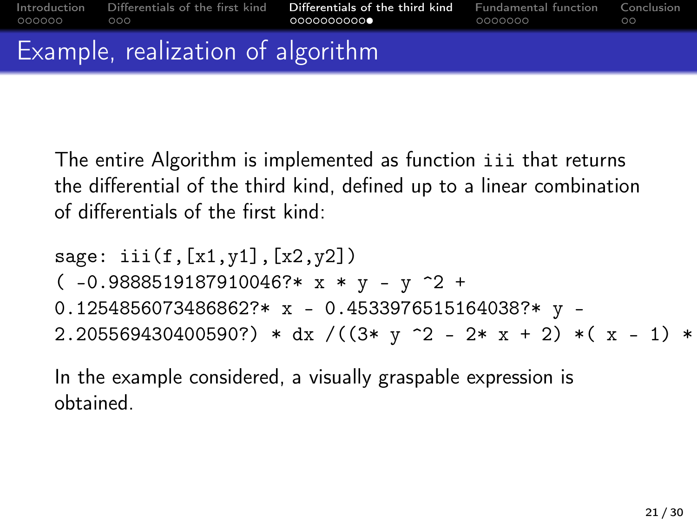The entire Algorithm is implemented as function iii that returns the differential of the third kind, defined up to a linear combination of differentials of the first kind:

sage: iii(f,[x1,y1],[x2,y2])  $(-0.9888519187910046?* x * y - y^2 +$ 0.1254856073486862?\* x - 0.4533976515164038?\* y - 2.205569430400590?) \* dx /( $(3* y^2 - 2* x + 2) * (x - 1) *$ 

In the example considered, a visually graspable expression is obtained.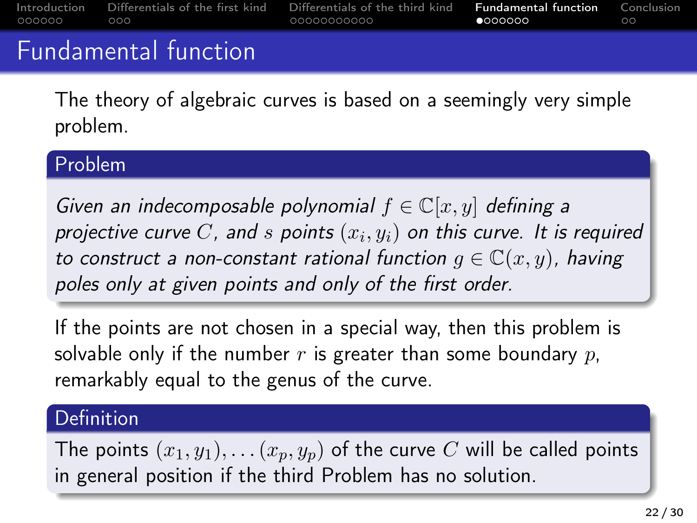<span id="page-21-0"></span>

| 000000 | $\circ$ 000          | Introduction Differentials of the first kind Differentials of the third kind | <b>Fundamental function</b> Conclusion<br>$\bullet$ 000000 | ററ |
|--------|----------------------|------------------------------------------------------------------------------|------------------------------------------------------------|----|
|        | Fundamental function |                                                                              |                                                            |    |

The theory of algebraic curves is based on a seemingly very simple problem.

#### Problem

Given an indecomposable polynomial  $f \in \mathbb{C}[x, y]$  defining a projective curve  $C$ , and  $s$  points  $\left(x_i, y_i\right)$  on this curve. It is required to construct a non-constant rational function  $g \in \mathbb{C}(x, y)$ , having poles only at given points and only of the first order.

If the points are not chosen in a special way, then this problem is solvable only if the number  $r$  is greater than some boundary  $p$ , remarkably equal to the genus of the curve.

#### Definition

The points  $(x_1, y_1), \ldots (x_p, y_p)$  of the curve C will be called points in general position if the third Problem has no solution.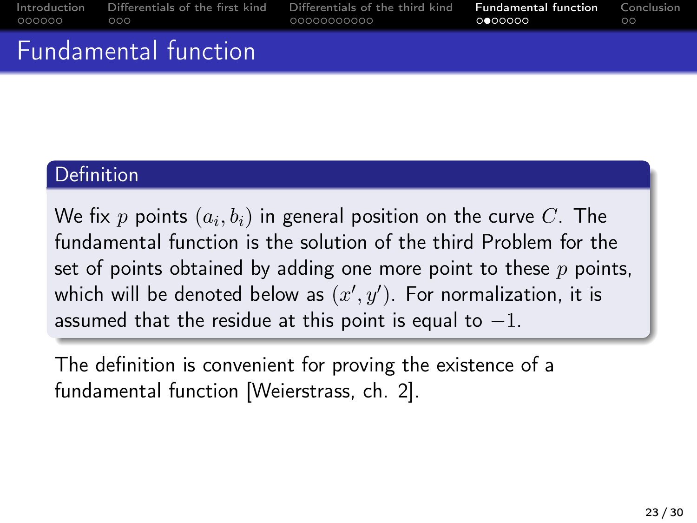| $000000$ 000 |                                                                                                                                                                                                                                       | Introduction Differentials of the first kind Differentials of the third kind <b>Fundamental function</b> Conclusion<br>.00000000000<br>$\Omega$ . The contract of $\Omega$ and $\Omega$ and $\Omega$ and $\Omega$ | <u>and the company of the company of the company of the company of the company of the company of the company of the company of the company of the company of the company of the company of the company of the company of the com</u> | - ററ |
|--------------|---------------------------------------------------------------------------------------------------------------------------------------------------------------------------------------------------------------------------------------|-------------------------------------------------------------------------------------------------------------------------------------------------------------------------------------------------------------------|--------------------------------------------------------------------------------------------------------------------------------------------------------------------------------------------------------------------------------------|------|
|              | $\blacksquare$ . The set of the set of the set of the set of the set of the set of the set of the set of the set of the set of the set of the set of the set of the set of the set of the set of the set of the set of the set of the |                                                                                                                                                                                                                   |                                                                                                                                                                                                                                      |      |

## Fundamental function

#### Definition

We fix  $p$  points  $\left(a_{i},b_{i}\right)$  in general position on the curve  $C.$  The fundamental function is the solution of the third Problem for the set of points obtained by adding one more point to these  $p$  points, which will be denoted below as  $(x^{\prime},y^{\prime}).$  For normalization, it is assumed that the residue at this point is equal to  $-1$ .

The definition is convenient for proving the existence of a fundamental function [Weierstrass, ch. 2].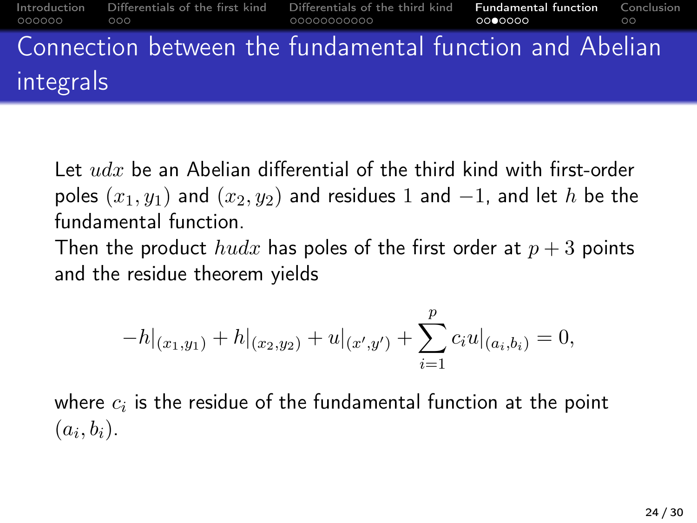#### [Introduction](#page-1-0) [Differentials of the first kind](#page-7-0) [Differentials of the third kind](#page-10-0) [Fundamental function](#page-21-0) [Conclusion](#page-28-0) ooooo ooo  $\circ$ Connection between the fundamental function and Abelian integrals

Let  $udx$  be an Abelian differential of the third kind with first-order poles  $(x_1, y_1)$  and  $(x_2, y_2)$  and residues 1 and  $-1$ , and let h be the fundamental function.

Then the product  $hudx$  has poles of the first order at  $p+3$  points and the residue theorem yields

$$
-h|_{(x_1,y_1)} + h|_{(x_2,y_2)} + u|_{(x',y')} + \sum_{i=1}^p c_i u|_{(a_i,b_i)} = 0,
$$

where  $c_i$  is the residue of the fundamental function at the point  $(a_i, b_i).$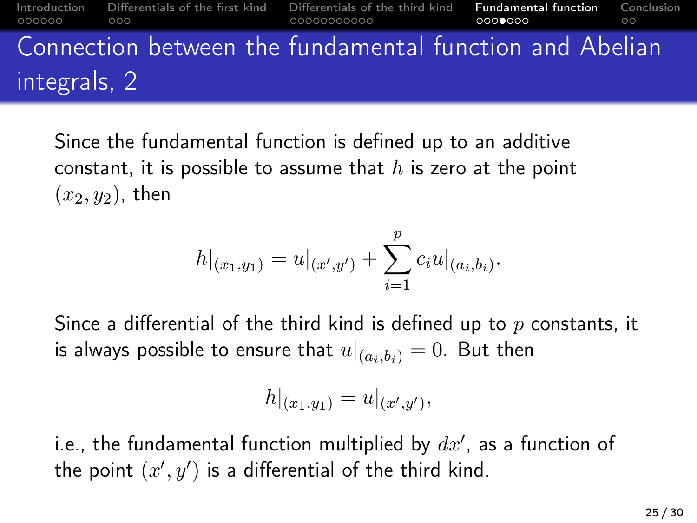#### [Introduction](#page-1-0) [Differentials of the first kind](#page-7-0) [Differentials of the third kind](#page-10-0) [Fundamental function](#page-21-0) [Conclusion](#page-28-0) ooooo  $\circ$ Connection between the fundamental function and Abelian integrals, 2

Since the fundamental function is defined up to an additive constant, it is possible to assume that  $h$  is zero at the point  $(x_2, y_2)$ , then

$$
h|_{(x_1,y_1)} = u|_{(x',y')} + \sum_{i=1}^p c_i u|_{(a_i,b_i)}.
$$

Since a differential of the third kind is defined up to  $p$  constants, it is always possible to ensure that  $u|_{(a_i,b_i)} = 0$ . But then

$$
h|_{(x_1,y_1)} = u|_{(x',y')},
$$

i.e., the fundamental function multiplied by  $dx^{\prime}$ , as a function of the point  $(x', y')$  is a differential of the third kind.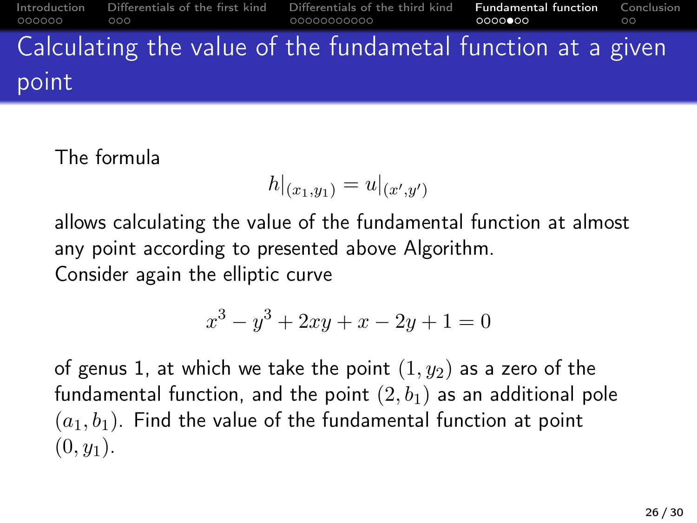#### [Introduction](#page-1-0) [Differentials of the first kind](#page-7-0) [Differentials of the third kind](#page-10-0) [Fundamental function](#page-21-0) [Conclusion](#page-28-0)  $000000$  $0000$  $\circ$ Calculating the value of the fundametal function at a given point

## The formula

$$
h|_{(x_1,y_1)} = u|_{(x',y')}
$$

allows calculating the value of the fundamental function at almost any point according to presented above Algorithm. Consider again the elliptic curve

$$
x^3 - y^3 + 2xy + x - 2y + 1 = 0
$$

of genus 1, at which we take the point  $(1, y_2)$  as a zero of the fundamental function, and the point  $(2, b<sub>1</sub>)$  as an additional pole  $(a_1, b_1)$ . Find the value of the fundamental function at point  $(0, y_1)$ .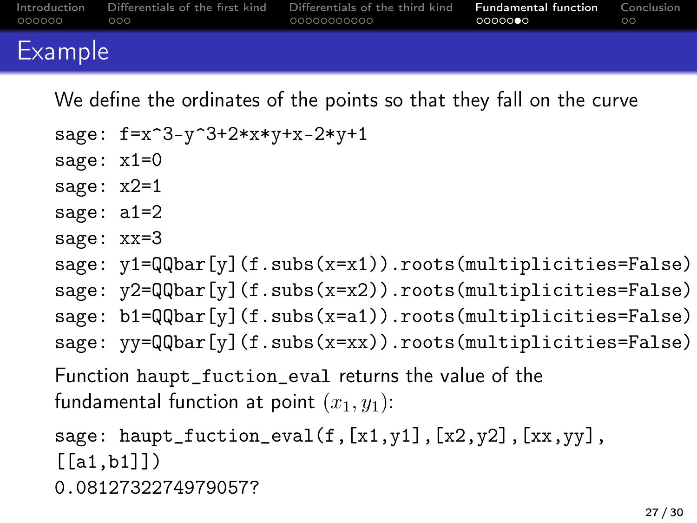| . 000000 | റററ | Introduction Differentials of the first kind Differentials of the third kind <b>Fundamental function</b> Conclusion<br>- 00000000000 | െറെ <b>െ</b> െ | _ ററ |
|----------|-----|--------------------------------------------------------------------------------------------------------------------------------------|----------------|------|
|          |     |                                                                                                                                      |                |      |

## Example

We define the ordinates of the points so that they fall on the curve

```
sage: f=x^3-y^3+2*x*y+x-2*y+1
sage: x1=0
sage: x2=1
sage: a1=2
sage: xx=3
sage: y1 = QQbar[y] (f.subs(x=x1)).roots(multiplicities=False)
sage: y2=QQbar[y](f.subs(x=x2)).roots(multiplicities=False)
sage: b1=QQbar[y] (f.subs(x=a1)).roots(multiplicities=False)
sage: yy=QQbar[y](f.subs(x=xx)).roots(multiplicities=False)
Function haupt_fuction_eval returns the value of the
fundamental function at point (x_1, y_1):
```

```
sage: haupt_fuction_eval(f,[x1,y1],[x2,y2],[xx,yy],
[[a1,b1]])
0.0812732274979057?
```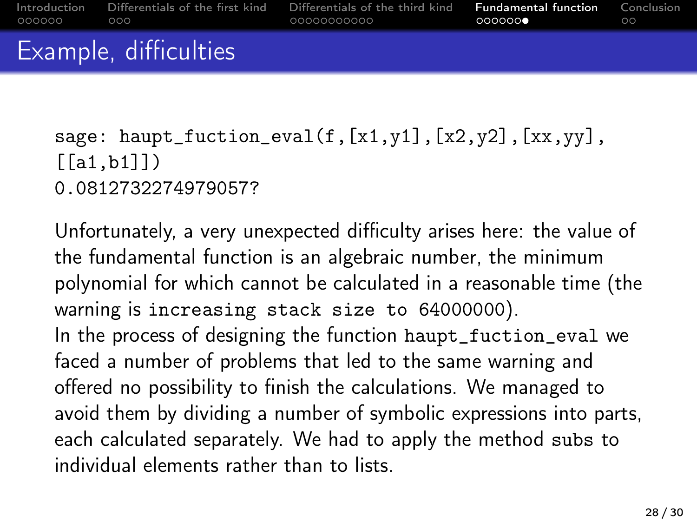sage: haupt\_fuction\_eval(f, $[x1,y1]$ , $[x2,y2]$ , $[xx,yy]$ ,  $[[a1,b1]]$ 0.0812732274979057?

Unfortunately, a very unexpected difficulty arises here: the value of the fundamental function is an algebraic number, the minimum polynomial for which cannot be calculated in a reasonable time (the warning is increasing stack size to 64000000). In the process of designing the function haupt\_fuction\_eval we faced a number of problems that led to the same warning and offered no possibility to finish the calculations. We managed to avoid them by dividing a number of symbolic expressions into parts, each calculated separately. We had to apply the method subs to individual elements rather than to lists.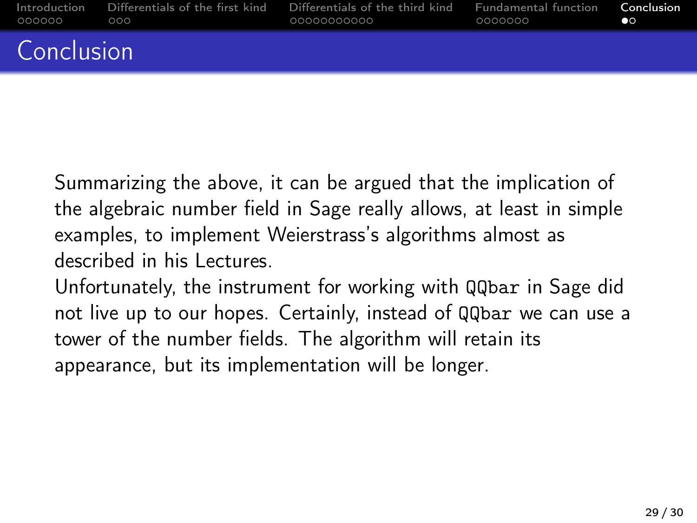<span id="page-28-0"></span>

| 000000 000 | Introduction Differentials of the first kind<br>a construction of the construction of the construction of the construction of the construction of | Differentials of the third kind Fundamental function <b>Conclusion</b> | 0000000 | $\circ$ |
|------------|---------------------------------------------------------------------------------------------------------------------------------------------------|------------------------------------------------------------------------|---------|---------|
| Conclusion |                                                                                                                                                   |                                                                        |         |         |

Summarizing the above, it can be argued that the implication of the algebraic number field in Sage really allows, at least in simple examples, to implement Weierstrass's algorithms almost as described in his Lectures.

Unfortunately, the instrument for working with QQbar in Sage did not live up to our hopes. Certainly, instead of QQbar we can use a tower of the number fields. The algorithm will retain its appearance, but its implementation will be longer.